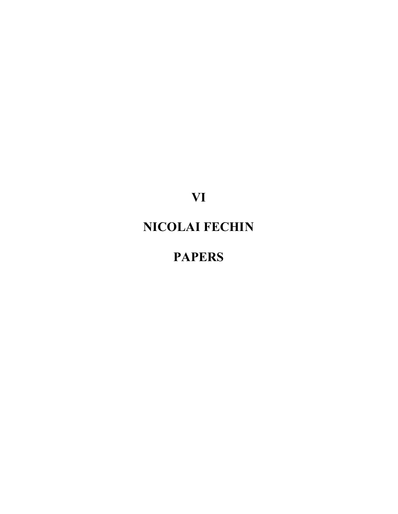**VI**

## **NICOLAI FECHIN**

## **PAPERS**